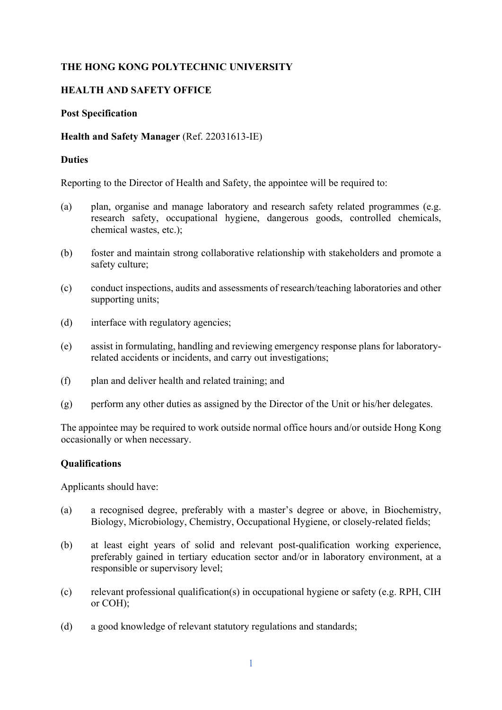# **THE HONG KONG POLYTECHNIC UNIVERSITY**

# **HEALTH AND SAFETY OFFICE**

#### **Post Specification**

#### **Health and Safety Manager** (Ref. 22031613-IE)

#### **Duties**

Reporting to the Director of Health and Safety, the appointee will be required to:

- (a) plan, organise and manage laboratory and research safety related programmes (e.g. research safety, occupational hygiene, dangerous goods, controlled chemicals, chemical wastes, etc.);
- (b) foster and maintain strong collaborative relationship with stakeholders and promote a safety culture;
- (c) conduct inspections, audits and assessments of research/teaching laboratories and other supporting units;
- (d) interface with regulatory agencies;
- (e) assist in formulating, handling and reviewing emergency response plans for laboratoryrelated accidents or incidents, and carry out investigations;
- (f) plan and deliver health and related training; and
- (g) perform any other duties as assigned by the Director of the Unit or his/her delegates.

The appointee may be required to work outside normal office hours and/or outside Hong Kong occasionally or when necessary.

# **Qualifications**

Applicants should have:

- (a) a recognised degree, preferably with a master's degree or above, in Biochemistry, Biology, Microbiology, Chemistry, Occupational Hygiene, or closely-related fields;
- (b) at least eight years of solid and relevant post-qualification working experience, preferably gained in tertiary education sector and/or in laboratory environment, at a responsible or supervisory level;
- (c) relevant professional qualification(s) in occupational hygiene or safety (e.g. RPH, CIH or COH);
- (d) a good knowledge of relevant statutory regulations and standards;